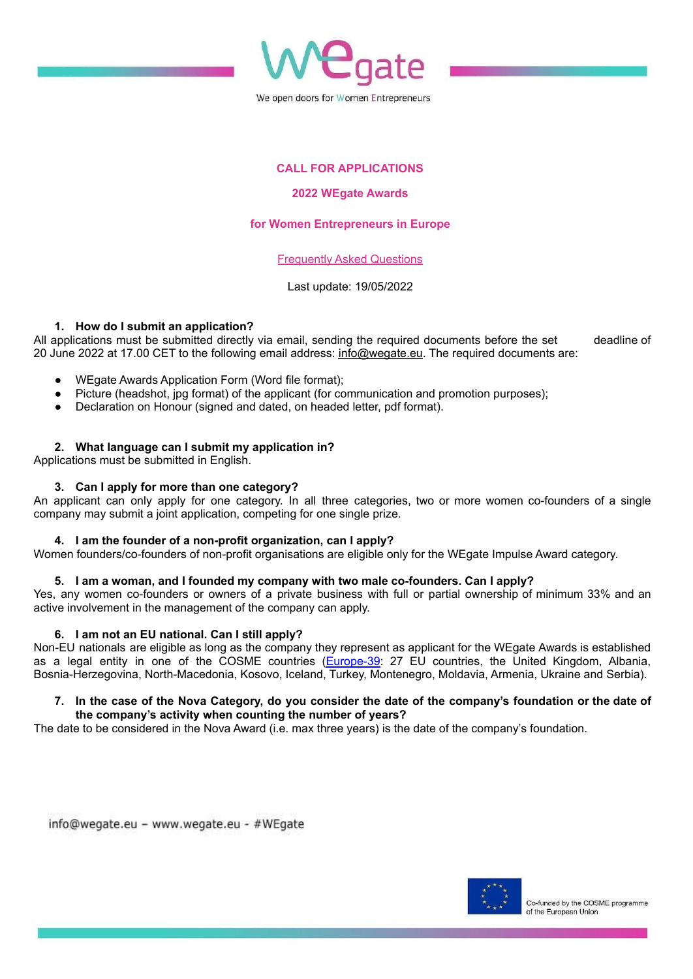

## **CALL FOR APPLICATIONS**

#### **2022 WEgate Awards**

### **for Women Entrepreneurs in Europe**

#### Frequently Asked Questions

#### Last update: 19/05/2022

#### **1. How do I submit an application?**

All applications must be submitted directly via email, sending the required documents before the set deadline of 20 June 2022 at 17.00 CET to the following email address: [info@wegate.eu.](mailto:info@wegate.eu) The required documents are:

- WEgate Awards Application Form (Word file format);
- Picture (headshot, jpg format) of the applicant (for communication and promotion purposes);
- Declaration on Honour (signed and dated, on headed letter, pdf format).

#### **2. What language can I submit my application in?**

Applications must be submitted in English.

#### **3. Can I apply for more than one category?**

An applicant can only apply for one category. In all three categories, two or more women co-founders of a single company may submit a joint application, competing for one single prize.

#### **4. I am the founder of a non-profit organization, can I apply?**

Women founders/co-founders of non-profit organisations are eligible only for the WEgate Impulse Award category.

## **5. I am a woman, and I founded my company with two male co-founders. Can I apply?**

Yes, any women co-founders or owners of a private business with full or partial ownership of minimum 33% and an active involvement in the management of the company can apply.

## **6. I am not an EU national. Can I still apply?**

Non-EU nationals are eligible as long as the company they represent as applicant for the WEgate Awards is established as a legal entity in one of the COSME countries [\(Europe-39](https://wegate.eu/about/who-we-are): 27 EU countries, the United Kingdom, Albania, Bosnia-Herzegovina, North-Macedonia, Kosovo, Iceland, Turkey, Montenegro, Moldavia, Armenia, Ukraine and Serbia).

#### 7. In the case of the Nova Category, do you consider the date of the company's foundation or the date of **the company's activity when counting the number of years?**

The date to be considered in the Nova Award (i.e. max three years) is the date of the company's foundation.

info@wegate.eu - www.wegate.eu - #WEgate